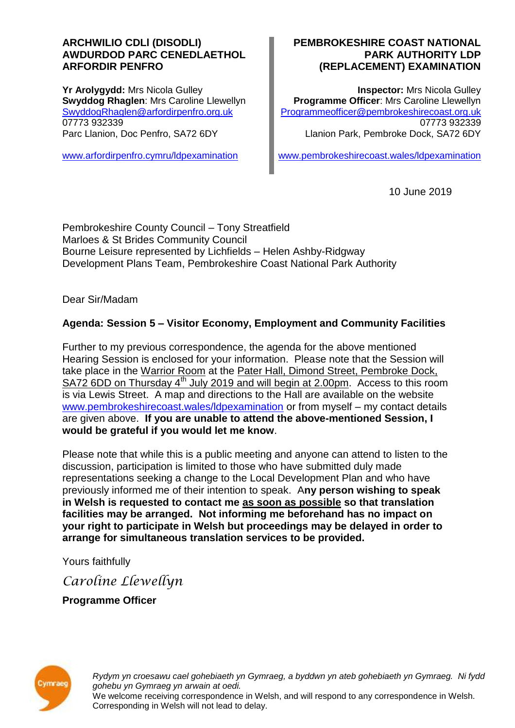#### **ARCHWILIO CDLl (DISODLI) AWDURDOD PARC CENEDLAETHOL ARFORDIR PENFRO**

**Yr Arolygydd:** Mrs Nicola Gulley **Swyddog Rhaglen**: Mrs Caroline Llewellyn [SwyddogRhaglen@arfordirpenfro.org.uk](mailto:SwyddogRhaglen@arfordirpenfro.org.uk) 07773 932339 Parc Llanion, Doc Penfro, SA72 6DY

[www.arfordirpenfro.cymru/ldpexamination](https://www.arfordirpenfro.cymru/ldpexamination)

#### **PEMBROKESHIRE COAST NATIONAL PARK AUTHORITY LDP (REPLACEMENT) EXAMINATION**

**Inspector:** Mrs Nicola Gulley **Programme Officer**: Mrs Caroline Llewellyn [Programmeofficer@pembrokeshirecoast.org.uk](mailto:Programmeofficer@pembrokeshirecoast.org.uk) 07773 932339 Llanion Park, Pembroke Dock, SA72 6DY

[www.pembrokeshirecoast.wales/ldpexamination](https://www.pembrokeshirecoast.wales/ldpexamination)

10 June 2019

Pembrokeshire County Council – Tony Streatfield Marloes & St Brides Community Council Bourne Leisure represented by Lichfields – Helen Ashby-Ridgway Development Plans Team, Pembrokeshire Coast National Park Authority

Dear Sir/Madam

# **Agenda: Session 5 – Visitor Economy, Employment and Community Facilities**

Further to my previous correspondence, the agenda for the above mentioned Hearing Session is enclosed for your information. Please note that the Session will take place in the Warrior Room at the Pater Hall, Dimond Street, Pembroke Dock, SA72 6DD on Thursday  $4<sup>th</sup>$  July 2019 and will begin at 2.00pm. Access to this room is via Lewis Street. A map and directions to the Hall are available on the website [www.pembrokeshirecoast.wales/ldpexamination](https://www.pembrokeshirecoast.wales/ldpexamination) or from myself – my contact details are given above. **If you are unable to attend the above-mentioned Session, I would be grateful if you would let me know**.

Please note that while this is a public meeting and anyone can attend to listen to the discussion, participation is limited to those who have submitted duly made representations seeking a change to the Local Development Plan and who have previously informed me of their intention to speak. A**ny person wishing to speak in Welsh is requested to contact me as soon as possible so that translation facilities may be arranged. Not informing me beforehand has no impact on your right to participate in Welsh but proceedings may be delayed in order to arrange for simultaneous translation services to be provided.**

Yours faithfully

*Caroline Llewellyn*

**Programme Officer**



*Rydym yn croesawu cael gohebiaeth yn Gymraeg, a byddwn yn ateb gohebiaeth yn Gymraeg. Ni fydd gohebu yn Gymraeg yn arwain at oedi.* We welcome receiving correspondence in Welsh, and will respond to any correspondence in Welsh. Corresponding in Welsh will not lead to delay.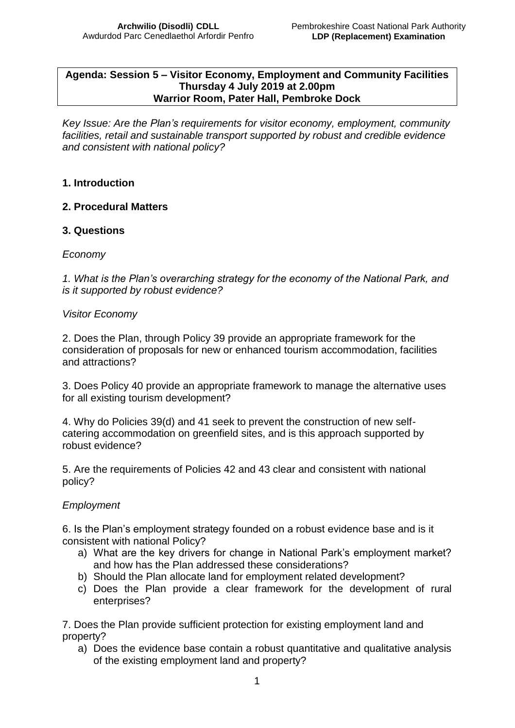#### **Agenda: Session 5 – Visitor Economy, Employment and Community Facilities Thursday 4 July 2019 at 2.00pm Warrior Room, Pater Hall, Pembroke Dock**

*Key Issue: Are the Plan's requirements for visitor economy, employment, community facilities, retail and sustainable transport supported by robust and credible evidence and consistent with national policy?* 

## **1. Introduction**

## **2. Procedural Matters**

## **3. Questions**

#### *Economy*

*1. What is the Plan's overarching strategy for the economy of the National Park, and is it supported by robust evidence?*

#### *Visitor Economy*

2. Does the Plan, through Policy 39 provide an appropriate framework for the consideration of proposals for new or enhanced tourism accommodation, facilities and attractions?

3. Does Policy 40 provide an appropriate framework to manage the alternative uses for all existing tourism development?

4. Why do Policies 39(d) and 41 seek to prevent the construction of new selfcatering accommodation on greenfield sites, and is this approach supported by robust evidence?

5. Are the requirements of Policies 42 and 43 clear and consistent with national policy?

## *Employment*

6. Is the Plan's employment strategy founded on a robust evidence base and is it consistent with national Policy?

- a) What are the key drivers for change in National Park's employment market? and how has the Plan addressed these considerations?
- b) Should the Plan allocate land for employment related development?
- c) Does the Plan provide a clear framework for the development of rural enterprises?

7. Does the Plan provide sufficient protection for existing employment land and property?

a) Does the evidence base contain a robust quantitative and qualitative analysis of the existing employment land and property?